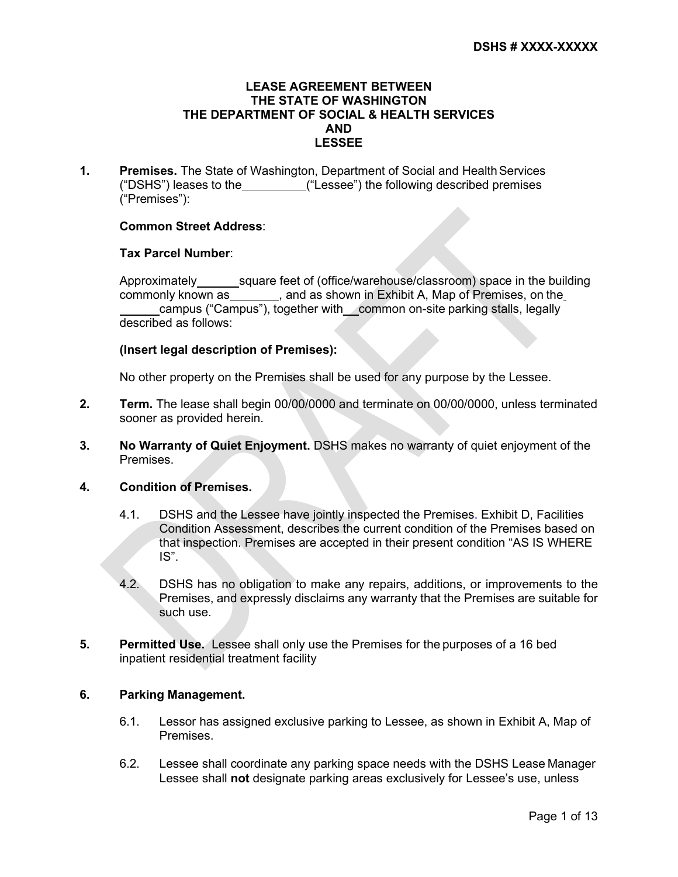#### **LEASE AGREEMENT BETWEEN THE STATE OF WASHINGTON THE DEPARTMENT OF SOCIAL & HEALTH SERVICES AND LESSEE**

**1. Premises.** The State of Washington, Department of Social and Health Services ("DSHS") leases to the ("Lessee") the following described premises ("Premises"):

## **Common Street Address**:

### **Tax Parcel Number**:

Approximately square feet of (office/warehouse/classroom) space in the building commonly known as , and as shown in Exhibit A, Map of Premises, on the campus ("Campus"), together with common on-site parking stalls, legally described as follows:

### **(Insert legal description of Premises):**

No other property on the Premises shall be used for any purpose by the Lessee.

- **2. Term.** The lease shall begin 00/00/0000 and terminate on 00/00/0000, unless terminated sooner as provided herein.
- **3. No Warranty of Quiet Enjoyment.** DSHS makes no warranty of quiet enjoyment of the **Premises**

### **4. Condition of Premises.**

- 4.1. DSHS and the Lessee have jointly inspected the Premises. Exhibit D, Facilities Condition Assessment, describes the current condition of the Premises based on that inspection. Premises are accepted in their present condition "AS IS WHERE IS".
- 4.2. DSHS has no obligation to make any repairs, additions, or improvements to the Premises, and expressly disclaims any warranty that the Premises are suitable for such use.
- **5. Permitted Use.** Lessee shall only use the Premises for the purposes of a 16 bed inpatient residential treatment facility

# **6. Parking Management.**

- 6.1. Lessor has assigned exclusive parking to Lessee, as shown in Exhibit A, Map of Premises.
- 6.2. Lessee shall coordinate any parking space needs with the DSHS Lease Manager Lessee shall **not** designate parking areas exclusively for Lessee's use, unless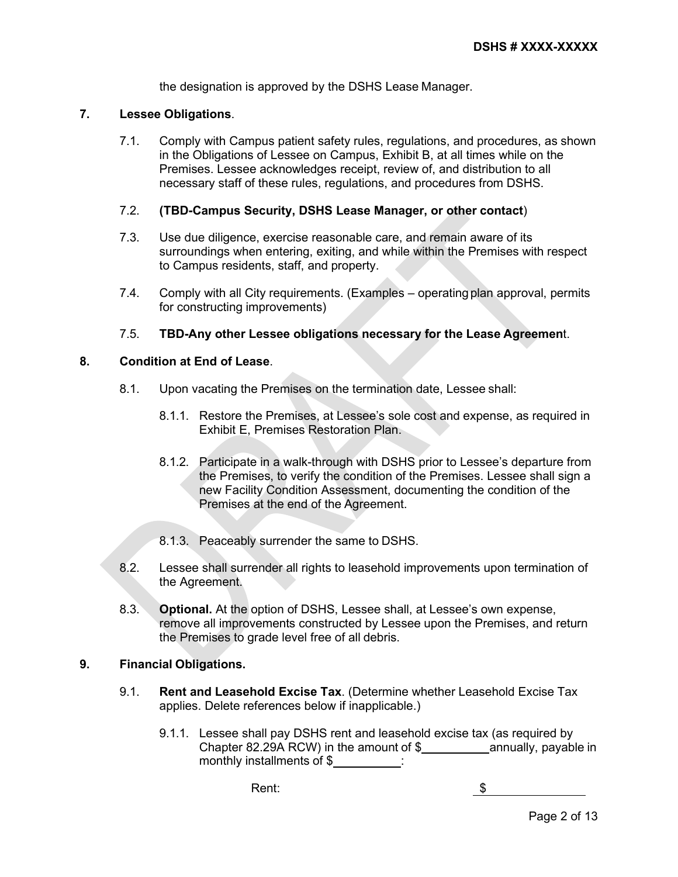the designation is approved by the DSHS Lease Manager.

# **7. Lessee Obligations**.

7.1. Comply with Campus patient safety rules, regulations, and procedures, as shown in the Obligations of Lessee on Campus, Exhibit B, at all times while on the Premises. Lessee acknowledges receipt, review of, and distribution to all necessary staff of these rules, regulations, and procedures from DSHS.

# 7.2. **(TBD-Campus Security, DSHS Lease Manager, or other contact**)

- 7.3. Use due diligence, exercise reasonable care, and remain aware of its surroundings when entering, exiting, and while within the Premises with respect to Campus residents, staff, and property.
- 7.4. Comply with all City requirements. (Examples operatingplan approval, permits for constructing improvements)

## 7.5. **TBD-Any other Lessee obligations necessary for the Lease Agreemen**t.

# **8. Condition at End of Lease**.

- 8.1. Upon vacating the Premises on the termination date, Lessee shall:
	- 8.1.1. Restore the Premises, at Lessee's sole cost and expense, as required in Exhibit E, Premises Restoration Plan.
	- 8.1.2. Participate in a walk-through with DSHS prior to Lessee's departure from the Premises, to verify the condition of the Premises. Lessee shall sign a new Facility Condition Assessment, documenting the condition of the Premises at the end of the Agreement.
	- 8.1.3. Peaceably surrender the same to DSHS.
- 8.2. Lessee shall surrender all rights to leasehold improvements upon termination of the Agreement.
- 8.3. **Optional.** At the option of DSHS, Lessee shall, at Lessee's own expense, remove all improvements constructed by Lessee upon the Premises, and return the Premises to grade level free of all debris.

## **9. Financial Obligations.**

- 9.1. **Rent and Leasehold Excise Tax**. (Determine whether Leasehold Excise Tax applies. Delete references below if inapplicable.)
	- 9.1.1. Lessee shall pay DSHS rent and leasehold excise tax (as required by Chapter 82.29A RCW) in the amount of  $\frac{1}{2}$  annually, payable in monthly installments of \$ :

Rent: \$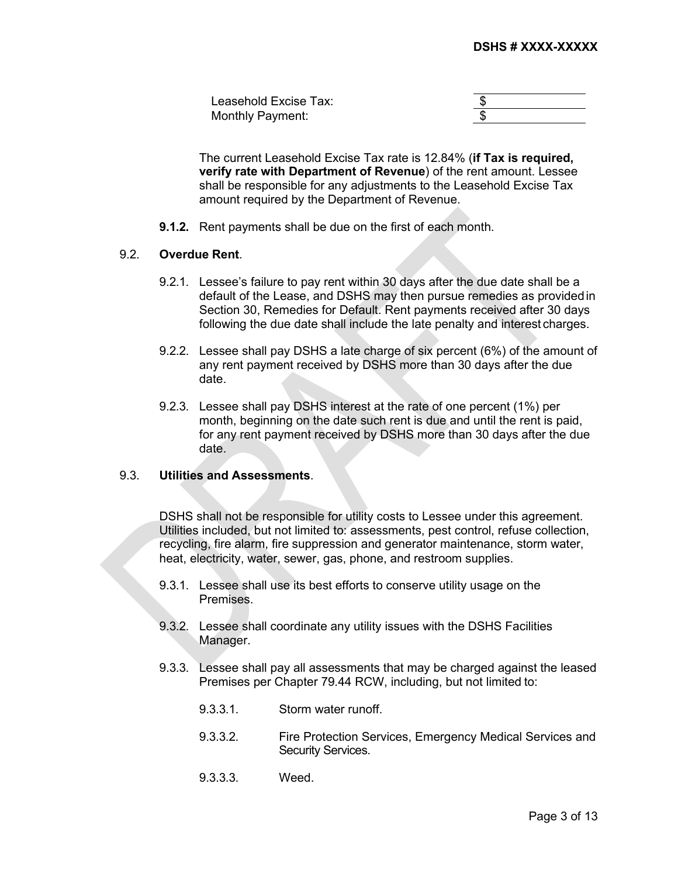| Leasehold Excise Tax: |  |
|-----------------------|--|
| Monthly Payment:      |  |

The current Leasehold Excise Tax rate is 12.84% (**if Tax is required, verify rate with Department of Revenue**) of the rent amount. Lessee shall be responsible for any adjustments to the Leasehold Excise Tax amount required by the Department of Revenue.

**9.1.2.** Rent payments shall be due on the first of each month.

#### 9.2. **Overdue Rent**.

- 9.2.1. Lessee's failure to pay rent within 30 days after the due date shall be a default of the Lease, and DSHS may then pursue remedies as providedin Section 30, Remedies for Default. Rent payments received after 30 days following the due date shall include the late penalty and interest charges.
- 9.2.2. Lessee shall pay DSHS a late charge of six percent (6%) of the amount of any rent payment received by DSHS more than 30 days after the due date.
- 9.2.3. Lessee shall pay DSHS interest at the rate of one percent (1%) per month, beginning on the date such rent is due and until the rent is paid, for any rent payment received by DSHS more than 30 days after the due date.

# 9.3. **Utilities and Assessments**.

DSHS shall not be responsible for utility costs to Lessee under this agreement. Utilities included, but not limited to: assessments, pest control, refuse collection, recycling, fire alarm, fire suppression and generator maintenance, storm water, heat, electricity, water, sewer, gas, phone, and restroom supplies.

- 9.3.1. Lessee shall use its best efforts to conserve utility usage on the Premises.
- 9.3.2. Lessee shall coordinate any utility issues with the DSHS Facilities Manager.
- 9.3.3. Lessee shall pay all assessments that may be charged against the leased Premises per Chapter 79.44 RCW, including, but not limited to:
	- 9.3.3.1. Storm water runoff.
	- 9.3.3.2. Fire Protection Services, Emergency Medical Services and Security Services.
	- 9.3.3.3. Weed.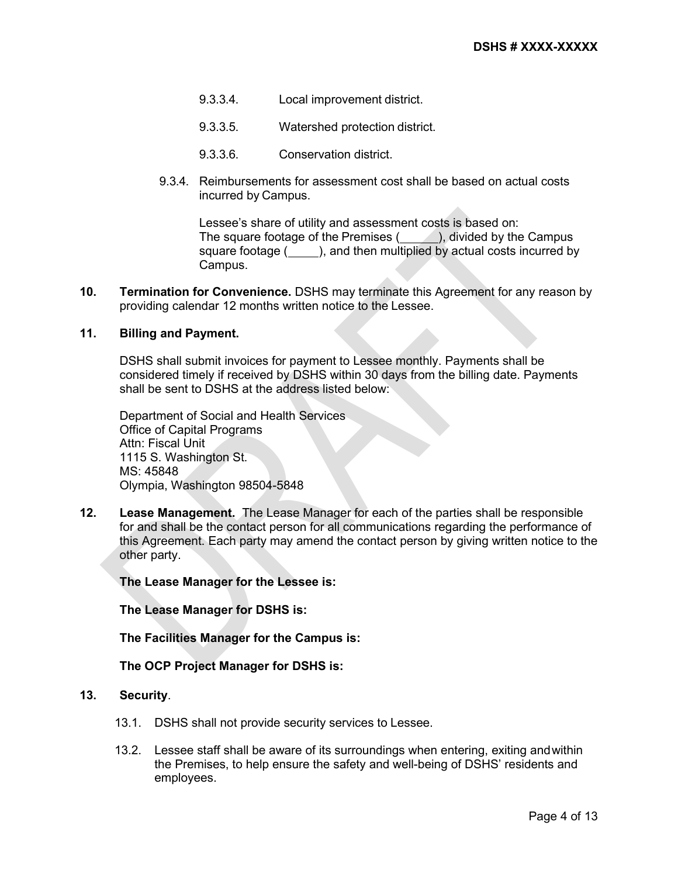- 9.3.3.4. Local improvement district.
- 9.3.3.5. Watershed protection district.
- 9.3.3.6. Conservation district.
- 9.3.4. Reimbursements for assessment cost shall be based on actual costs incurred by Campus.

Lessee's share of utility and assessment costs is based on: The square footage of the Premises  $($ , divided by the Campus square footage ( ), and then multiplied by actual costs incurred by Campus.

**10. Termination for Convenience.** DSHS may terminate this Agreement for any reason by providing calendar 12 months written notice to the Lessee.

# **11. Billing and Payment.**

DSHS shall submit invoices for payment to Lessee monthly. Payments shall be considered timely if received by DSHS within 30 days from the billing date. Payments shall be sent to DSHS at the address listed below:

Department of Social and Health Services Office of Capital Programs Attn: Fiscal Unit 1115 S. Washington St. MS: 45848 Olympia, Washington 98504-5848

**12. Lease Management.** The Lease Manager for each of the parties shall be responsible for and shall be the contact person for all communications regarding the performance of this Agreement. Each party may amend the contact person by giving written notice to the other party.

**The Lease Manager for the Lessee is:**

**The Lease Manager for DSHS is:**

**The Facilities Manager for the Campus is:**

### **The OCP Project Manager for DSHS is:**

# **13. Security**.

- 13.1. DSHS shall not provide security services to Lessee.
- 13.2. Lessee staff shall be aware of its surroundings when entering, exiting andwithin the Premises, to help ensure the safety and well-being of DSHS' residents and employees.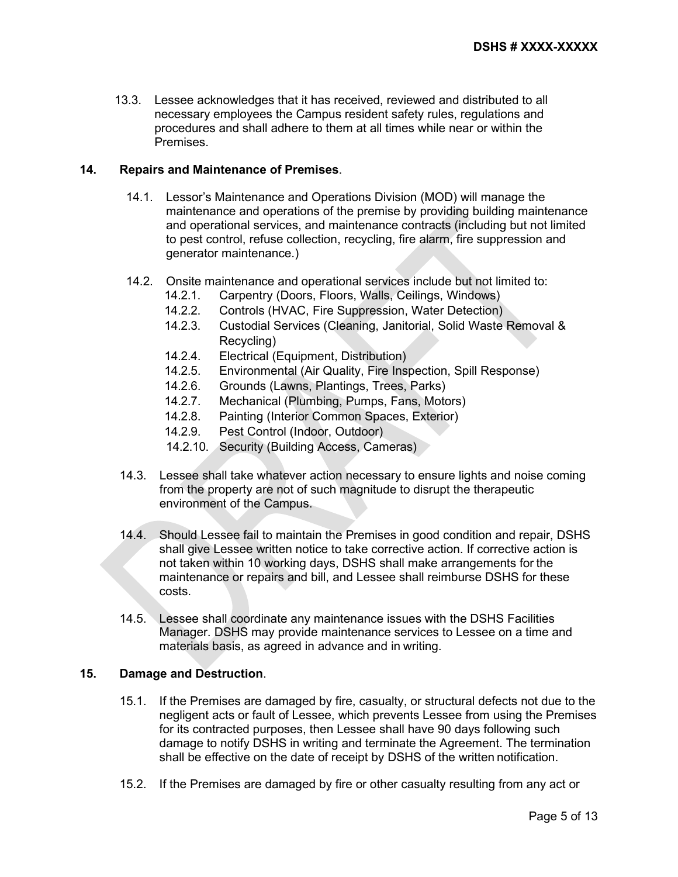13.3. Lessee acknowledges that it has received, reviewed and distributed to all necessary employees the Campus resident safety rules, regulations and procedures and shall adhere to them at all times while near or within the **Premises** 

## **14. Repairs and Maintenance of Premises**.

- 14.1. Lessor's Maintenance and Operations Division (MOD) will manage the maintenance and operations of the premise by providing building maintenance and operational services, and maintenance contracts (including but not limited to pest control, refuse collection, recycling, fire alarm, fire suppression and generator maintenance.)
- 14.2. Onsite maintenance and operational services include but not limited to:
	- 14.2.1. Carpentry (Doors, Floors, Walls, Ceilings, Windows)
	- 14.2.2. Controls (HVAC, Fire Suppression, Water Detection)
	- 14.2.3. Custodial Services (Cleaning, Janitorial, Solid Waste Removal & Recycling)
	- 14.2.4. Electrical (Equipment, Distribution)
	- 14.2.5. Environmental (Air Quality, Fire Inspection, Spill Response)
	- 14.2.6. Grounds (Lawns, Plantings, Trees, Parks)
	- 14.2.7. Mechanical (Plumbing, Pumps, Fans, Motors)
	- 14.2.8. Painting (Interior Common Spaces, Exterior)
	- 14.2.9. Pest Control (Indoor, Outdoor)
	- 14.2.10. Security (Building Access, Cameras)
- 14.3. Lessee shall take whatever action necessary to ensure lights and noise coming from the property are not of such magnitude to disrupt the therapeutic environment of the Campus.
- 14.4. Should Lessee fail to maintain the Premises in good condition and repair, DSHS shall give Lessee written notice to take corrective action. If corrective action is not taken within 10 working days, DSHS shall make arrangements for the maintenance or repairs and bill, and Lessee shall reimburse DSHS for these costs.
- 14.5. Lessee shall coordinate any maintenance issues with the DSHS Facilities Manager. DSHS may provide maintenance services to Lessee on a time and materials basis, as agreed in advance and in writing.

## **15. Damage and Destruction**.

- 15.1. If the Premises are damaged by fire, casualty, or structural defects not due to the negligent acts or fault of Lessee, which prevents Lessee from using the Premises for its contracted purposes, then Lessee shall have 90 days following such damage to notify DSHS in writing and terminate the Agreement. The termination shall be effective on the date of receipt by DSHS of the written notification.
- 15.2. If the Premises are damaged by fire or other casualty resulting from any act or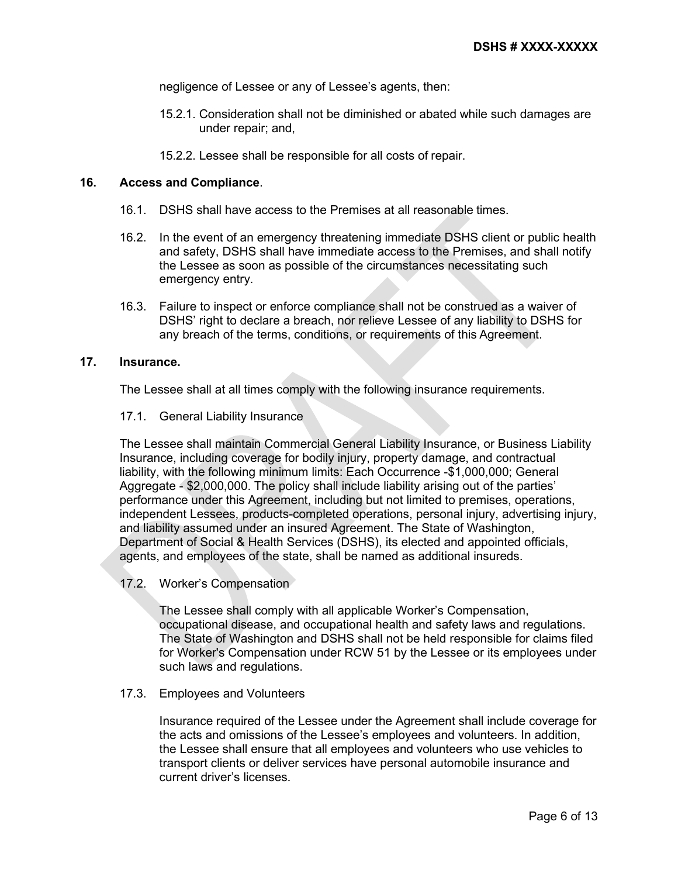negligence of Lessee or any of Lessee's agents, then:

- 15.2.1. Consideration shall not be diminished or abated while such damages are under repair; and,
- 15.2.2. Lessee shall be responsible for all costs of repair.

# **16. Access and Compliance**.

- 16.1. DSHS shall have access to the Premises at all reasonable times.
- 16.2. In the event of an emergency threatening immediate DSHS client or public health and safety, DSHS shall have immediate access to the Premises, and shall notify the Lessee as soon as possible of the circumstances necessitating such emergency entry.
- 16.3. Failure to inspect or enforce compliance shall not be construed as a waiver of DSHS' right to declare a breach, nor relieve Lessee of any liability to DSHS for any breach of the terms, conditions, or requirements of this Agreement.

# **17. Insurance.**

The Lessee shall at all times comply with the following insurance requirements.

17.1. General Liability Insurance

The Lessee shall maintain Commercial General Liability Insurance, or Business Liability Insurance, including coverage for bodily injury, property damage, and contractual liability, with the following minimum limits: Each Occurrence -\$1,000,000; General Aggregate - \$2,000,000. The policy shall include liability arising out of the parties' performance under this Agreement, including but not limited to premises, operations, independent Lessees, products-completed operations, personal injury, advertising injury, and liability assumed under an insured Agreement. The State of Washington, Department of Social & Health Services (DSHS), its elected and appointed officials, agents, and employees of the state, shall be named as additional insureds.

17.2. Worker's Compensation

The Lessee shall comply with all applicable Worker's Compensation, occupational disease, and occupational health and safety laws and regulations. The State of Washington and DSHS shall not be held responsible for claims filed for Worker's Compensation under RCW 51 by the Lessee or its employees under such laws and regulations.

### 17.3. Employees and Volunteers

Insurance required of the Lessee under the Agreement shall include coverage for the acts and omissions of the Lessee's employees and volunteers. In addition, the Lessee shall ensure that all employees and volunteers who use vehicles to transport clients or deliver services have personal automobile insurance and current driver's licenses.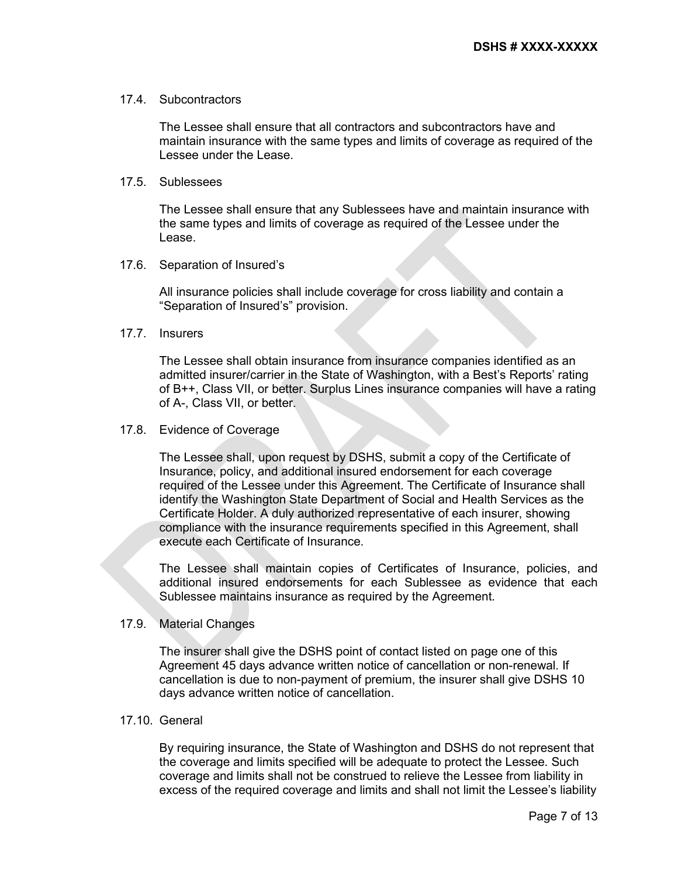### 17.4. Subcontractors

The Lessee shall ensure that all contractors and subcontractors have and maintain insurance with the same types and limits of coverage as required of the Lessee under the Lease.

#### 17.5. Sublessees

The Lessee shall ensure that any Sublessees have and maintain insurance with the same types and limits of coverage as required of the Lessee under the Lease.

#### 17.6. Separation of Insured's

All insurance policies shall include coverage for cross liability and contain a "Separation of Insured's" provision.

### 17.7. Insurers

The Lessee shall obtain insurance from insurance companies identified as an admitted insurer/carrier in the State of Washington, with a Best's Reports' rating of B++, Class VII, or better. Surplus Lines insurance companies will have a rating of A-, Class VII, or better.

#### 17.8. Evidence of Coverage

The Lessee shall, upon request by DSHS, submit a copy of the Certificate of Insurance, policy, and additional insured endorsement for each coverage required of the Lessee under this Agreement. The Certificate of Insurance shall identify the Washington State Department of Social and Health Services as the Certificate Holder. A duly authorized representative of each insurer, showing compliance with the insurance requirements specified in this Agreement, shall execute each Certificate of Insurance.

The Lessee shall maintain copies of Certificates of Insurance, policies, and additional insured endorsements for each Sublessee as evidence that each Sublessee maintains insurance as required by the Agreement.

## 17.9. Material Changes

The insurer shall give the DSHS point of contact listed on page one of this Agreement 45 days advance written notice of cancellation or non-renewal. If cancellation is due to non-payment of premium, the insurer shall give DSHS 10 days advance written notice of cancellation.

## 17.10. General

By requiring insurance, the State of Washington and DSHS do not represent that the coverage and limits specified will be adequate to protect the Lessee. Such coverage and limits shall not be construed to relieve the Lessee from liability in excess of the required coverage and limits and shall not limit the Lessee's liability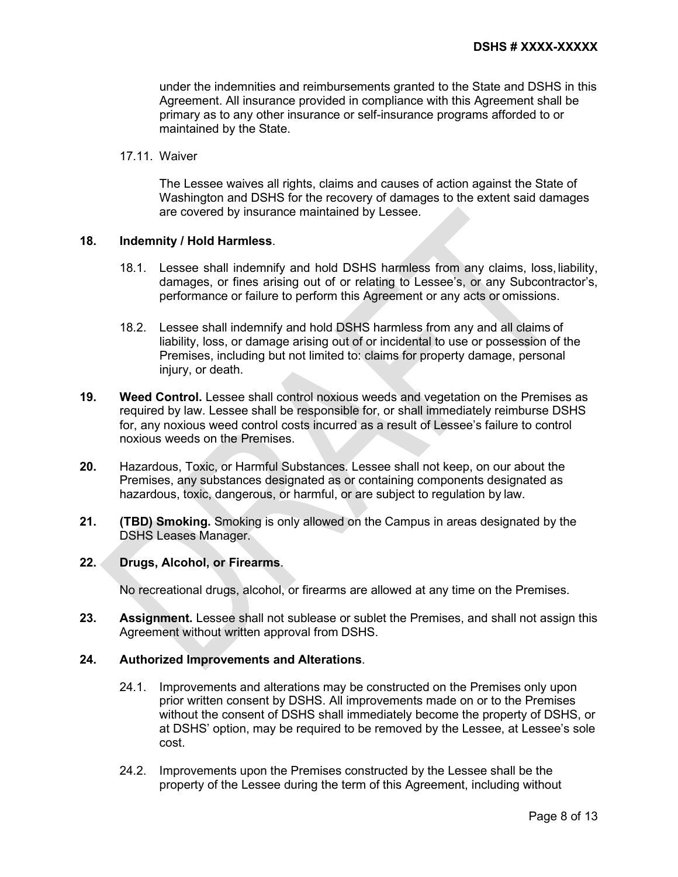under the indemnities and reimbursements granted to the State and DSHS in this Agreement. All insurance provided in compliance with this Agreement shall be primary as to any other insurance or self-insurance programs afforded to or maintained by the State.

#### 17.11. Waiver

The Lessee waives all rights, claims and causes of action against the State of Washington and DSHS for the recovery of damages to the extent said damages are covered by insurance maintained by Lessee.

#### **18. Indemnity / Hold Harmless**.

- 18.1. Lessee shall indemnify and hold DSHS harmless from any claims, loss,liability, damages, or fines arising out of or relating to Lessee's, or any Subcontractor's, performance or failure to perform this Agreement or any acts or omissions.
- 18.2. Lessee shall indemnify and hold DSHS harmless from any and all claims of liability, loss, or damage arising out of or incidental to use or possession of the Premises, including but not limited to: claims for property damage, personal injury, or death.
- **19. Weed Control.** Lessee shall control noxious weeds and vegetation on the Premises as required by law. Lessee shall be responsible for, or shall immediately reimburse DSHS for, any noxious weed control costs incurred as a result of Lessee's failure to control noxious weeds on the Premises.
- **20.** Hazardous, Toxic, or Harmful Substances. Lessee shall not keep, on our about the Premises, any substances designated as or containing components designated as hazardous, toxic, dangerous, or harmful, or are subject to regulation by law.
- **21. (TBD) Smoking.** Smoking is only allowed on the Campus in areas designated by the DSHS Leases Manager.

#### **22. Drugs, Alcohol, or Firearms**.

No recreational drugs, alcohol, or firearms are allowed at any time on the Premises.

**23. Assignment.** Lessee shall not sublease or sublet the Premises, and shall not assign this Agreement without written approval from DSHS.

#### **24. Authorized Improvements and Alterations**.

- 24.1. Improvements and alterations may be constructed on the Premises only upon prior written consent by DSHS. All improvements made on or to the Premises without the consent of DSHS shall immediately become the property of DSHS, or at DSHS' option, may be required to be removed by the Lessee, at Lessee's sole cost.
- 24.2. Improvements upon the Premises constructed by the Lessee shall be the property of the Lessee during the term of this Agreement, including without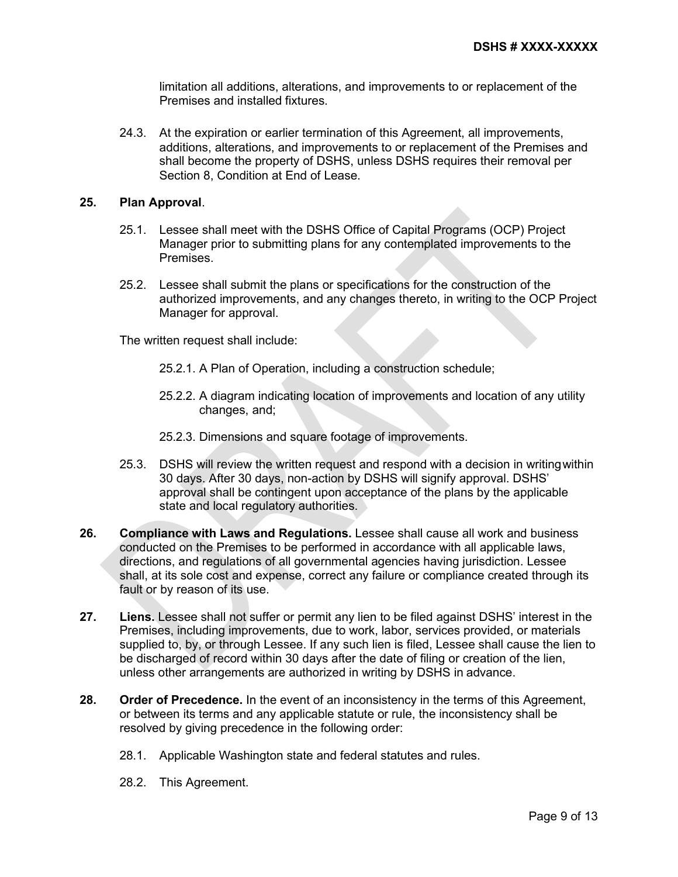limitation all additions, alterations, and improvements to or replacement of the Premises and installed fixtures.

24.3. At the expiration or earlier termination of this Agreement, all improvements, additions, alterations, and improvements to or replacement of the Premises and shall become the property of DSHS, unless DSHS requires their removal per Section 8, Condition at End of Lease.

### **25. Plan Approval**.

- 25.1. Lessee shall meet with the DSHS Office of Capital Programs (OCP) Project Manager prior to submitting plans for any contemplated improvements to the Premises.
- 25.2. Lessee shall submit the plans or specifications for the construction of the authorized improvements, and any changes thereto, in writing to the OCP Project Manager for approval.

The written request shall include:

- 25.2.1. A Plan of Operation, including a construction schedule;
- 25.2.2. A diagram indicating location of improvements and location of any utility changes, and;
- 25.2.3. Dimensions and square footage of improvements.
- 25.3. DSHS will review the written request and respond with a decision in writingwithin 30 days. After 30 days, non-action by DSHS will signify approval. DSHS' approval shall be contingent upon acceptance of the plans by the applicable state and local regulatory authorities.
- **26. Compliance with Laws and Regulations.** Lessee shall cause all work and business conducted on the Premises to be performed in accordance with all applicable laws, directions, and regulations of all governmental agencies having jurisdiction. Lessee shall, at its sole cost and expense, correct any failure or compliance created through its fault or by reason of its use.
- **27. Liens.** Lessee shall not suffer or permit any lien to be filed against DSHS' interest in the Premises, including improvements, due to work, labor, services provided, or materials supplied to, by, or through Lessee. If any such lien is filed, Lessee shall cause the lien to be discharged of record within 30 days after the date of filing or creation of the lien, unless other arrangements are authorized in writing by DSHS in advance.
- **28. Order of Precedence.** In the event of an inconsistency in the terms of this Agreement, or between its terms and any applicable statute or rule, the inconsistency shall be resolved by giving precedence in the following order:
	- 28.1. Applicable Washington state and federal statutes and rules.
	- 28.2. This Agreement.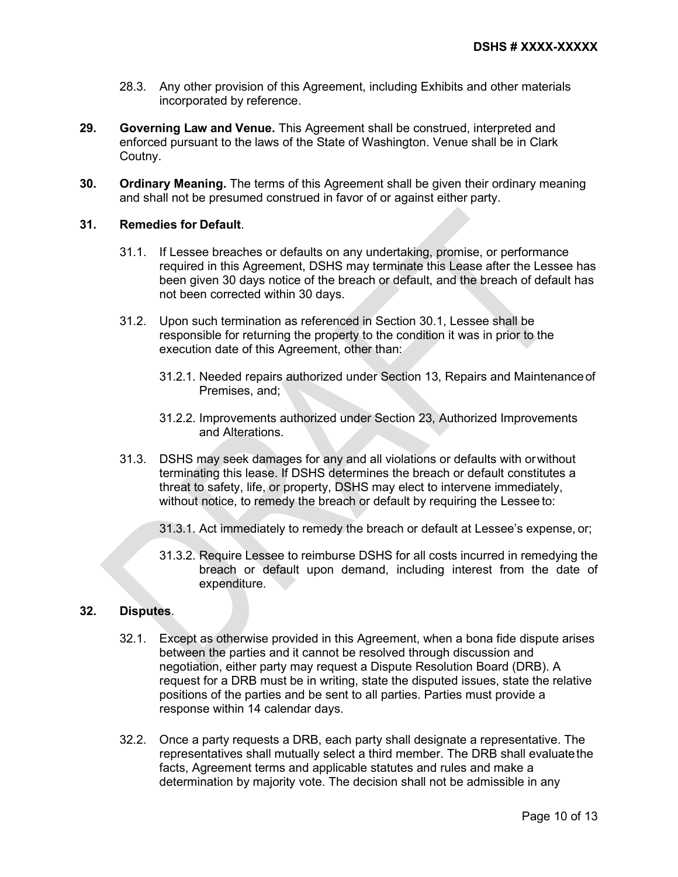- 28.3. Any other provision of this Agreement, including Exhibits and other materials incorporated by reference.
- **29. Governing Law and Venue.** This Agreement shall be construed, interpreted and enforced pursuant to the laws of the State of Washington. Venue shall be in Clark Coutny.
- **30. Ordinary Meaning.** The terms of this Agreement shall be given their ordinary meaning and shall not be presumed construed in favor of or against either party.

## **31. Remedies for Default**.

- 31.1. If Lessee breaches or defaults on any undertaking, promise, or performance required in this Agreement, DSHS may terminate this Lease after the Lessee has been given 30 days notice of the breach or default, and the breach of default has not been corrected within 30 days.
- 31.2. Upon such termination as referenced in Section 30.1, Lessee shall be responsible for returning the property to the condition it was in prior to the execution date of this Agreement, other than:
	- 31.2.1. Needed repairs authorized under Section 13, Repairs and Maintenanceof Premises, and;
	- 31.2.2. Improvements authorized under Section 23, Authorized Improvements and Alterations.
- 31.3. DSHS may seek damages for any and all violations or defaults with orwithout terminating this lease. If DSHS determines the breach or default constitutes a threat to safety, life, or property, DSHS may elect to intervene immediately, without notice, to remedy the breach or default by requiring the Lessee to:
	- 31.3.1. Act immediately to remedy the breach or default at Lessee's expense, or;
	- 31.3.2. Require Lessee to reimburse DSHS for all costs incurred in remedying the breach or default upon demand, including interest from the date of expenditure.

### **32. Disputes**.

- 32.1. Except as otherwise provided in this Agreement, when a bona fide dispute arises between the parties and it cannot be resolved through discussion and negotiation, either party may request a Dispute Resolution Board (DRB). A request for a DRB must be in writing, state the disputed issues, state the relative positions of the parties and be sent to all parties. Parties must provide a response within 14 calendar days.
- 32.2. Once a party requests a DRB, each party shall designate a representative. The representatives shall mutually select a third member. The DRB shall evaluatethe facts, Agreement terms and applicable statutes and rules and make a determination by majority vote. The decision shall not be admissible in any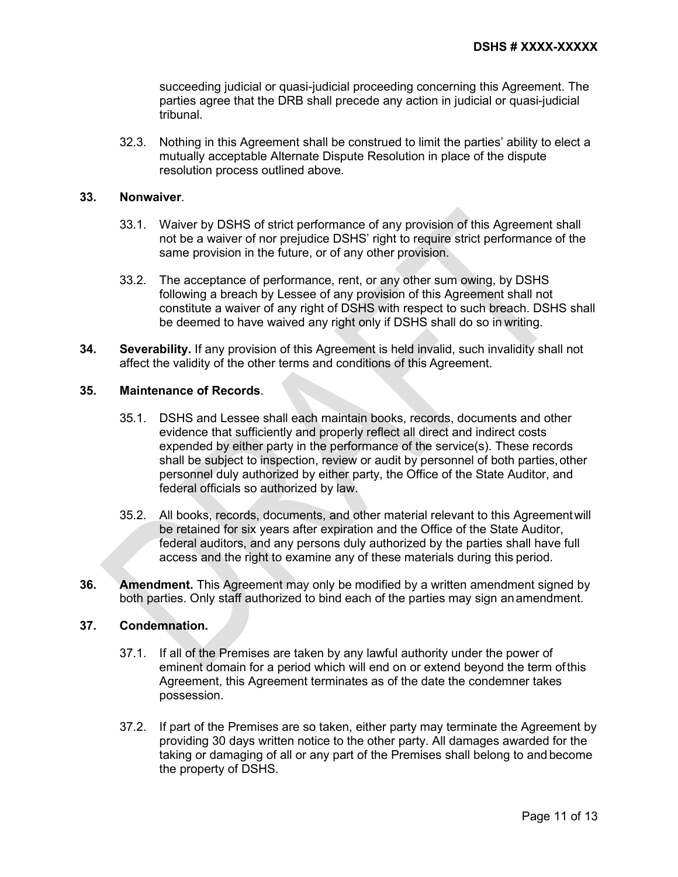succeeding judicial or quasi-judicial proceeding concerning this Agreement. The parties agree that the DRB shall precede any action in judicial or quasi-judicial tribunal.

32.3. Nothing in this Agreement shall be construed to limit the parties' ability to elect a mutually acceptable Alternate Dispute Resolution in place of the dispute resolution process outlined above.

## **33. Nonwaiver**.

- 33.1. Waiver by DSHS of strict performance of any provision of this Agreement shall not be a waiver of nor prejudice DSHS' right to require strict performance of the same provision in the future, or of any other provision.
- 33.2. The acceptance of performance, rent, or any other sum owing, by DSHS following a breach by Lessee of any provision of this Agreement shall not constitute a waiver of any right of DSHS with respect to such breach. DSHS shall be deemed to have waived any right only if DSHS shall do so in writing.
- **34. Severability.** If any provision of this Agreement is held invalid, such invalidity shall not affect the validity of the other terms and conditions of this Agreement.

## **35. Maintenance of Records**.

- 35.1. DSHS and Lessee shall each maintain books, records, documents and other evidence that sufficiently and properly reflect all direct and indirect costs expended by either party in the performance of the service(s). These records shall be subject to inspection, review or audit by personnel of both parties, other personnel duly authorized by either party, the Office of the State Auditor, and federal officials so authorized by law.
- 35.2. All books, records, documents, and other material relevant to this Agreementwill be retained for six years after expiration and the Office of the State Auditor, federal auditors, and any persons duly authorized by the parties shall have full access and the right to examine any of these materials during this period.
- **36. Amendment.** This Agreement may only be modified by a written amendment signed by both parties. Only staff authorized to bind each of the parties may sign anamendment.

### **37. Condemnation.**

- 37.1. If all of the Premises are taken by any lawful authority under the power of eminent domain for a period which will end on or extend beyond the term ofthis Agreement, this Agreement terminates as of the date the condemner takes possession.
- 37.2. If part of the Premises are so taken, either party may terminate the Agreement by providing 30 days written notice to the other party. All damages awarded for the taking or damaging of all or any part of the Premises shall belong to and become the property of DSHS.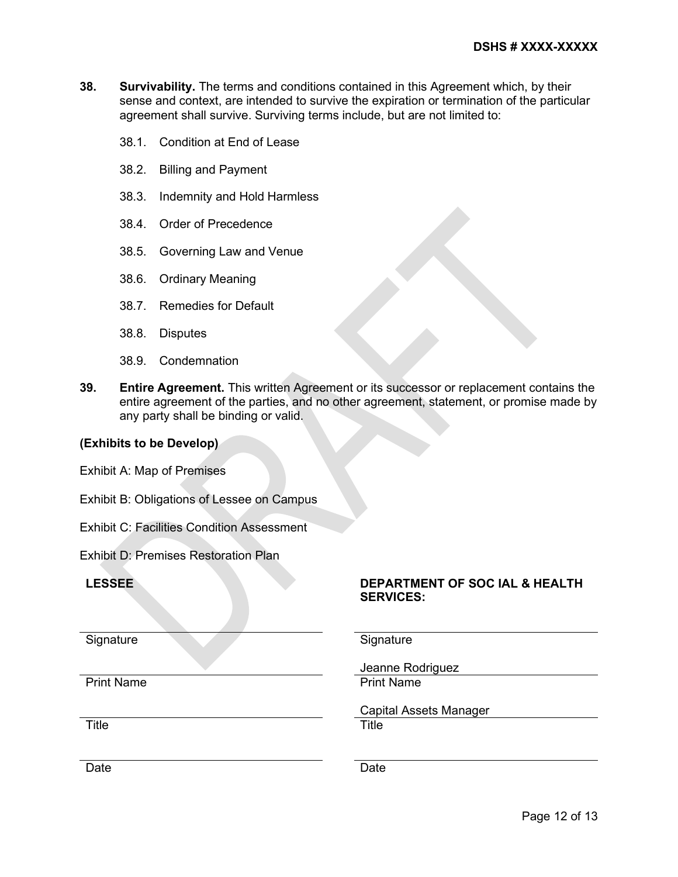- **38. Survivability.** The terms and conditions contained in this Agreement which, by their sense and context, are intended to survive the expiration or termination of the particular agreement shall survive. Surviving terms include, but are not limited to:
	- 38.1. Condition at End of Lease
	- 38.2. Billing and Payment
	- 38.3. Indemnity and Hold Harmless
	- 38.4. Order of Precedence
	- 38.5. Governing Law and Venue
	- 38.6. Ordinary Meaning
	- 38.7. Remedies for Default
	- 38.8. Disputes
	- 38.9. Condemnation
- **39. Entire Agreement.** This written Agreement or its successor or replacement contains the entire agreement of the parties, and no other agreement, statement, or promise made by any party shall be binding or valid.

# **(Exhibits to be Develop)**

Exhibit A: Map of Premises

Exhibit B: Obligations of Lessee on Campus

Exhibit C: Facilities Condition Assessment

Exhibit D: Premises Restoration Plan

## **LESSEE DEPARTMENT OF SOC IAL & HEALTH**

Signature Signature Signature Signature Signature Signature Signature Signature Signature Signature Signature Signature Signature Signature Signature Signature Signature Signature Signature Signature Signature Signature Si

**SERVICES:** 

Print Name

Title **The Title** 

Capital Assets Manager

Jeanne Rodriguez

Date **Date Date Date Date**